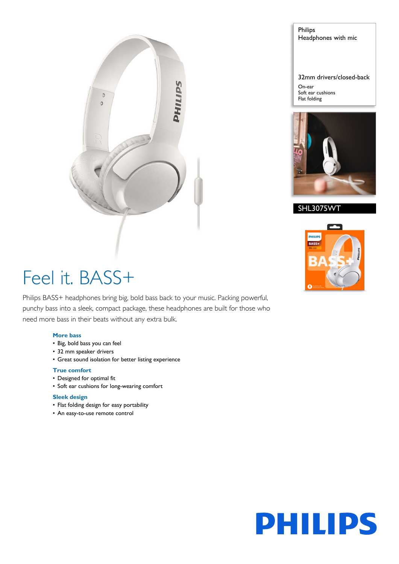

Philips Headphones with mic

32mm drivers/closed-back On-ear

Soft ear cushions Flat folding



SHL3075WT



# Feel it. BASS+

Philips BASS+ headphones bring big, bold bass back to your music. Packing powerful, punchy bass into a sleek, compact package, these headphones are built for those who need more bass in their beats without any extra bulk.

# **More bass**

- Big, bold bass you can feel
- 32 mm speaker drivers
- Great sound isolation for better listing experience

# **True comfort**

- Designed for optimal fit
- Soft ear cushions for long-wearing comfort

## **Sleek design**

- Flat folding design for easy portability
- An easy-to-use remote control

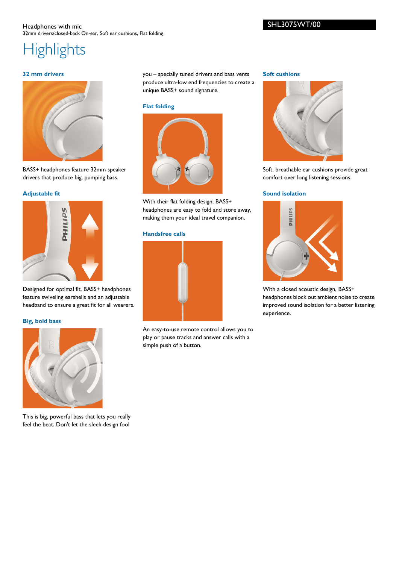## Headphones with mic 32mm drivers/closed-back On-ear, Soft ear cushions, Flat folding

# **Highlights**

# **32 mm drivers**



BASS+ headphones feature 32mm speaker drivers that produce big, pumping bass.

# **Adjustable fit**



Designed for optimal fit, BASS+ headphones feature swiveling earshells and an adjustable headband to ensure a great fit for all wearers.

## **Big, bold bass**



This is big, powerful bass that lets you really feel the beat. Don't let the sleek design fool you – specially tuned drivers and bass vents produce ultra-low end frequencies to create a unique BASS+ sound signature.

#### **Flat folding**



With their flat folding design, BASS+ headphones are easy to fold and store away, making them your ideal travel companion.

# **Handsfree calls**



An easy-to-use remote control allows you to play or pause tracks and answer calls with a simple push of a button.

#### **Soft cushions**



Soft, breathable ear cushions provide great comfort over long listening sessions.

## **Sound isolation**



With a closed acoustic design, BASS+ headphones block out ambient noise to create improved sound isolation for a better listening experience.